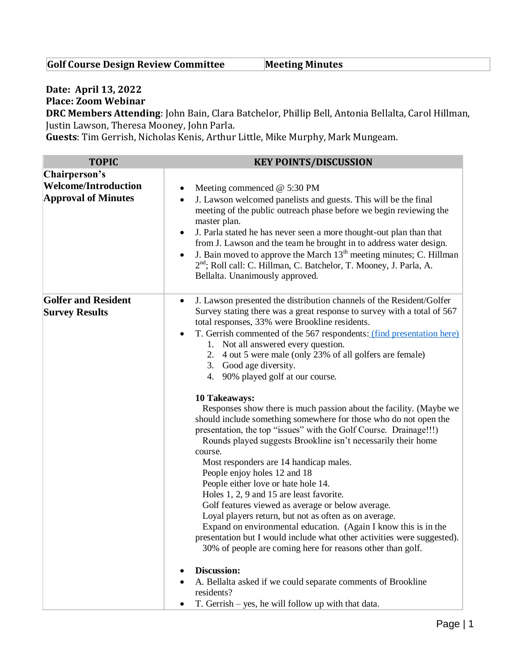## **Golf Course Design Review Committee Meeting Minutes**

## **Date: April 13, 2022**

**Place: Zoom Webinar**

**DRC Members Attending**: John Bain, Clara Batchelor, Phillip Bell, Antonia Bellalta, Carol Hillman, Justin Lawson, Theresa Mooney, John Parla.

**Guests**: Tim Gerrish, Nicholas Kenis, Arthur Little, Mike Murphy, Mark Mungeam.

| Chairperson's<br><b>Welcome/Introduction</b><br>Meeting commenced $@$ 5:30 PM<br><b>Approval of Minutes</b><br>J. Lawson welcomed panelists and guests. This will be the final<br>master plan.                                                                                                                                                                                                                                                                                                                                                                                                                                                                                                                                                                                                                                                                                          | <b>TOPIC</b> | <b>KEY POINTS/DISCUSSION</b>                                                                                                                                                                                                                                                                                                                                                                                                                                                                                     |
|-----------------------------------------------------------------------------------------------------------------------------------------------------------------------------------------------------------------------------------------------------------------------------------------------------------------------------------------------------------------------------------------------------------------------------------------------------------------------------------------------------------------------------------------------------------------------------------------------------------------------------------------------------------------------------------------------------------------------------------------------------------------------------------------------------------------------------------------------------------------------------------------|--------------|------------------------------------------------------------------------------------------------------------------------------------------------------------------------------------------------------------------------------------------------------------------------------------------------------------------------------------------------------------------------------------------------------------------------------------------------------------------------------------------------------------------|
| 2 <sup>nd</sup> ; Roll call: C. Hillman, C. Batchelor, T. Mooney, J. Parla, A.<br>Bellalta. Unanimously approved.                                                                                                                                                                                                                                                                                                                                                                                                                                                                                                                                                                                                                                                                                                                                                                       |              | meeting of the public outreach phase before we begin reviewing the<br>J. Parla stated he has never seen a more thought-out plan than that<br>$\bullet$<br>from J. Lawson and the team he brought in to address water design.<br>J. Bain moved to approve the March 13 <sup>th</sup> meeting minutes; C. Hillman                                                                                                                                                                                                  |
| <b>Golfer and Resident</b><br><b>Survey Results</b><br>total responses, 33% were Brookline residents.<br>1. Not all answered every question.<br>2. 4 out 5 were male (only 23% of all golfers are female)<br>3. Good age diversity.<br>4. 90% played golf at our course.<br><b>10 Takeaways:</b><br>presentation, the top "issues" with the Golf Course. Drainage!!!)<br>Rounds played suggests Brookline isn't necessarily their home<br>course.<br>Most responders are 14 handicap males.<br>People enjoy holes 12 and 18<br>People either love or hate hole 14.<br>Holes 1, 2, 9 and 15 are least favorite.<br>Golf features viewed as average or below average.<br>Loyal players return, but not as often as on average.<br>30% of people are coming here for reasons other than golf.<br>Discussion:<br>A. Bellalta asked if we could separate comments of Brookline<br>residents? |              | J. Lawson presented the distribution channels of the Resident/Golfer<br>Survey stating there was a great response to survey with a total of 567<br>T. Gerrish commented of the 567 respondents: (find presentation here)<br>Responses show there is much passion about the facility. (Maybe we<br>should include something somewhere for those who do not open the<br>Expand on environmental education. (Again I know this is in the<br>presentation but I would include what other activities were suggested). |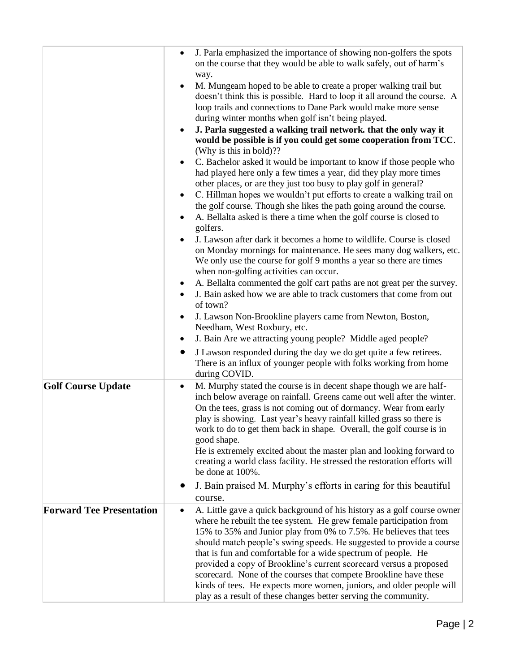|                                 | J. Parla emphasized the importance of showing non-golfers the spots<br>$\bullet$<br>on the course that they would be able to walk safely, out of harm's<br>way.                                                                                                                                                                                                                                                                                                                                                                                                                                                                                  |
|---------------------------------|--------------------------------------------------------------------------------------------------------------------------------------------------------------------------------------------------------------------------------------------------------------------------------------------------------------------------------------------------------------------------------------------------------------------------------------------------------------------------------------------------------------------------------------------------------------------------------------------------------------------------------------------------|
|                                 | M. Mungeam hoped to be able to create a proper walking trail but<br>doesn't think this is possible. Hard to loop it all around the course. A<br>loop trails and connections to Dane Park would make more sense<br>during winter months when golf isn't being played.                                                                                                                                                                                                                                                                                                                                                                             |
|                                 | J. Parla suggested a walking trail network. that the only way it<br>would be possible is if you could get some cooperation from TCC.<br>(Why is this in bold)??                                                                                                                                                                                                                                                                                                                                                                                                                                                                                  |
|                                 | C. Bachelor asked it would be important to know if those people who<br>had played here only a few times a year, did they play more times<br>other places, or are they just too busy to play golf in general?                                                                                                                                                                                                                                                                                                                                                                                                                                     |
|                                 | C. Hillman hopes we wouldn't put efforts to create a walking trail on<br>the golf course. Though she likes the path going around the course.                                                                                                                                                                                                                                                                                                                                                                                                                                                                                                     |
|                                 | A. Bellalta asked is there a time when the golf course is closed to<br>golfers.                                                                                                                                                                                                                                                                                                                                                                                                                                                                                                                                                                  |
|                                 | J. Lawson after dark it becomes a home to wildlife. Course is closed<br>on Monday mornings for maintenance. He sees many dog walkers, etc.<br>We only use the course for golf 9 months a year so there are times<br>when non-golfing activities can occur.                                                                                                                                                                                                                                                                                                                                                                                       |
|                                 | A. Bellalta commented the golf cart paths are not great per the survey.<br>J. Bain asked how we are able to track customers that come from out<br>of town?                                                                                                                                                                                                                                                                                                                                                                                                                                                                                       |
|                                 | J. Lawson Non-Brookline players came from Newton, Boston,<br>Needham, West Roxbury, etc.<br>J. Bain Are we attracting young people? Middle aged people?<br>٠                                                                                                                                                                                                                                                                                                                                                                                                                                                                                     |
|                                 | J Lawson responded during the day we do get quite a few retirees.<br>There is an influx of younger people with folks working from home<br>during COVID.                                                                                                                                                                                                                                                                                                                                                                                                                                                                                          |
| <b>Golf Course Update</b>       | M. Murphy stated the course is in decent shape though we are half-<br>$\bullet$<br>inch below average on rainfall. Greens came out well after the winter.<br>On the tees, grass is not coming out of dormancy. Wear from early<br>play is showing. Last year's heavy rainfall killed grass so there is<br>work to do to get them back in shape. Overall, the golf course is in<br>good shape.<br>He is extremely excited about the master plan and looking forward to<br>creating a world class facility. He stressed the restoration efforts will                                                                                               |
|                                 | be done at 100%.                                                                                                                                                                                                                                                                                                                                                                                                                                                                                                                                                                                                                                 |
|                                 | J. Bain praised M. Murphy's efforts in caring for this beautiful<br>course.                                                                                                                                                                                                                                                                                                                                                                                                                                                                                                                                                                      |
| <b>Forward Tee Presentation</b> | A. Little gave a quick background of his history as a golf course owner<br>where he rebuilt the tee system. He grew female participation from<br>15% to 35% and Junior play from 0% to 7.5%. He believes that tees<br>should match people's swing speeds. He suggested to provide a course<br>that is fun and comfortable for a wide spectrum of people. He<br>provided a copy of Brookline's current scorecard versus a proposed<br>scorecard. None of the courses that compete Brookline have these<br>kinds of tees. He expects more women, juniors, and older people will<br>play as a result of these changes better serving the community. |